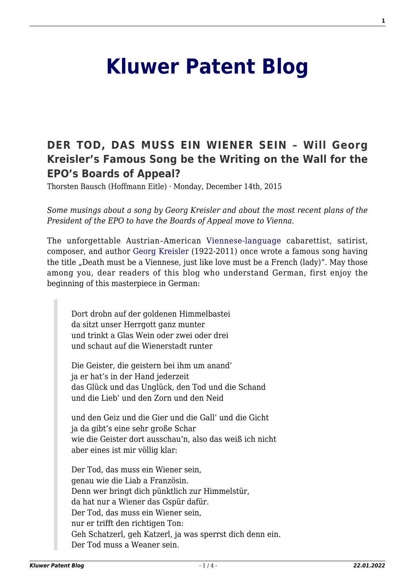## **[Kluwer Patent Blog](http://patentblog.kluweriplaw.com/)**

## **[DER TOD, DAS MUSS EIN WIENER SEIN – Will Georg](http://patentblog.kluweriplaw.com/2015/12/14/der-tod-das-muss-ein-wiener-sein-will-georg-kreislers-famous-song-be-the-writing-on-the-wall-for-the-epos-boards-of-appeal/) [Kreisler's Famous Song be the Writing on the Wall for the](http://patentblog.kluweriplaw.com/2015/12/14/der-tod-das-muss-ein-wiener-sein-will-georg-kreislers-famous-song-be-the-writing-on-the-wall-for-the-epos-boards-of-appeal/) [EPO's Boards of Appeal?](http://patentblog.kluweriplaw.com/2015/12/14/der-tod-das-muss-ein-wiener-sein-will-georg-kreislers-famous-song-be-the-writing-on-the-wall-for-the-epos-boards-of-appeal/)**

Thorsten Bausch (Hoffmann Eitle) · Monday, December 14th, 2015

*Some musings about a song by Georg Kreisler and about the most recent plans of the President of the EPO to have the Boards of Appeal move to Vienna.*

The unforgettable Austrian–American [Viennese-language](https://en.wikipedia.org/wiki/Viennese_German) cabarettist, satirist, composer, and author [Georg Kreisler](https://en.wikipedia.org/wiki/Georg_Kreisler) (1922-2011) once wrote a famous song having the title "Death must be a Viennese, just like love must be a French (lady)". May those among you, dear readers of this blog who understand German, first enjoy the beginning of this masterpiece in German:

Dort drobn auf der goldenen Himmelbastei da sitzt unser Herrgott ganz munter und trinkt a Glas Wein oder zwei oder drei und schaut auf die Wienerstadt runter

Die Geister, die geistern bei ihm um anand' ja er hat's in der Hand jederzeit das Glück und das Unglück, den Tod und die Schand und die Lieb' und den Zorn und den Neid

und den Geiz und die Gier und die Gall' und die Gicht ja da gibt's eine sehr große Schar wie die Geister dort ausschau'n, also das weiß ich nicht aber eines ist mir völlig klar:

Der Tod, das muss ein Wiener sein, genau wie die Liab a Französin. Denn wer bringt dich pünktlich zur Himmelstür, da hat nur a Wiener das Gspür dafür. Der Tod, das muss ein Wiener sein, nur er trifft den richtigen Ton: Geh Schatzerl, geh Katzerl, ja was sperrst dich denn ein. Der Tod muss a Weaner sein.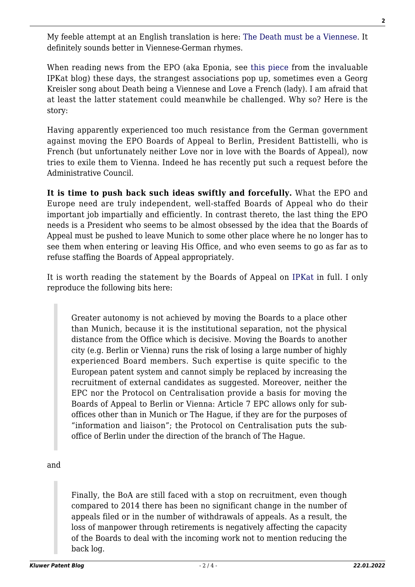My feeble attempt at an English translation is here: [The Death must be a Viennese.](http://patentblog.kluweriplaw.com/wp-content/uploads/sites/52/2015/12/The-Death-must-be-a-Viennese.docx) It definitely sounds better in Viennese-German rhymes.

When reading news from the EPO (aka Eponia, see [this piece](http://ipkitten.blogspot.co.uk/2015/12/boards-of-appeal-tell-ac-we-were-never.html) from the invaluable IPKat blog) these days, the strangest associations pop up, sometimes even a Georg Kreisler song about Death being a Viennese and Love a French (lady). I am afraid that at least the latter statement could meanwhile be challenged. Why so? Here is the story:

Having apparently experienced too much resistance from the German government against moving the EPO Boards of Appeal to Berlin, President Battistelli, who is French (but unfortunately neither Love nor in love with the Boards of Appeal), now tries to exile them to Vienna. Indeed he has recently put such a request before the Administrative Council.

**It is time to push back such ideas swiftly and forcefully.** What the EPO and Europe need are truly independent, well-staffed Boards of Appeal who do their important job impartially and efficiently. In contrast thereto, the last thing the EPO needs is a President who seems to be almost obsessed by the idea that the Boards of Appeal must be pushed to leave Munich to some other place where he no longer has to see them when entering or leaving His Office, and who even seems to go as far as to refuse staffing the Boards of Appeal appropriately.

It is worth reading the statement by the Boards of Appeal on [IPKat](http://ipkitten.blogspot.co.uk/2015/12/boards-of-appeal-tell-ac-we-were-never.html) in full. I only reproduce the following bits here:

Greater autonomy is not achieved by moving the Boards to a place other than Munich, because it is the institutional separation, not the physical distance from the Office which is decisive. Moving the Boards to another city (e.g. Berlin or Vienna) runs the risk of losing a large number of highly experienced Board members. Such expertise is quite specific to the European patent system and cannot simply be replaced by increasing the recruitment of external candidates as suggested. Moreover, neither the EPC nor the Protocol on Centralisation provide a basis for moving the Boards of Appeal to Berlin or Vienna: Article 7 EPC allows only for suboffices other than in Munich or The Hague, if they are for the purposes of "information and liaison"; the Protocol on Centralisation puts the suboffice of Berlin under the direction of the branch of The Hague.

and

Finally, the BoA are still faced with a stop on recruitment, even though compared to 2014 there has been no significant change in the number of appeals filed or in the number of withdrawals of appeals. As a result, the loss of manpower through retirements is negatively affecting the capacity of the Boards to deal with the incoming work not to mention reducing the back log.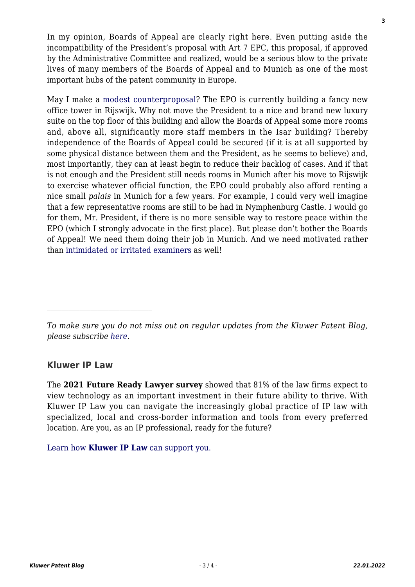In my opinion, Boards of Appeal are clearly right here. Even putting aside the incompatibility of the President's proposal with Art 7 EPC, this proposal, if approved by the Administrative Committee and realized, would be a serious blow to the private lives of many members of the Boards of Appeal and to Munich as one of the most important hubs of the patent community in Europe.

May I make a [modest counterproposal](https://en.wikipedia.org/wiki/A_Modest_Proposal)? The EPO is currently building a fancy new office tower in Rijswijk. Why not move the President to a nice and brand new luxury suite on the top floor of this building and allow the Boards of Appeal some more rooms and, above all, significantly more staff members in the Isar building? Thereby independence of the Boards of Appeal could be secured (if it is at all supported by some physical distance between them and the President, as he seems to believe) and, most importantly, they can at least begin to reduce their backlog of cases. And if that is not enough and the President still needs rooms in Munich after his move to Rijswijk to exercise whatever official function, the EPO could probably also afford renting a nice small *palais* in Munich for a few years. For example, I could very well imagine that a few representative rooms are still to be had in Nymphenburg Castle. I would go for them, Mr. President, if there is no more sensible way to restore peace within the EPO (which I strongly advocate in the first place). But please don't bother the Boards of Appeal! We need them doing their job in Munich. And we need motivated rather than [intimidated or irritated examiners](http://ipkitten.blogspot.co.uk/2015/11/eponia-land-of-suspense-and-suspensions.html) as well!

*To make sure you do not miss out on regular updates from the Kluwer Patent Blog, please subscribe [here.](http://patentblog.kluweriplaw.com/newsletter)*

## **Kluwer IP Law**

 $\mathcal{L}_\text{max}$ 

The **2021 Future Ready Lawyer survey** showed that 81% of the law firms expect to view technology as an important investment in their future ability to thrive. With Kluwer IP Law you can navigate the increasingly global practice of IP law with specialized, local and cross-border information and tools from every preferred location. Are you, as an IP professional, ready for the future?

[Learn how](https://www.wolterskluwer.com/en/solutions/kluweriplaw?utm_source=patentblog&utm_medium=articleCTA&utm_campaign=article-banner) **[Kluwer IP Law](https://www.wolterskluwer.com/en/solutions/kluweriplaw?utm_source=patentblog&utm_medium=articleCTA&utm_campaign=article-banner)** [can support you.](https://www.wolterskluwer.com/en/solutions/kluweriplaw?utm_source=patentblog&utm_medium=articleCTA&utm_campaign=article-banner)